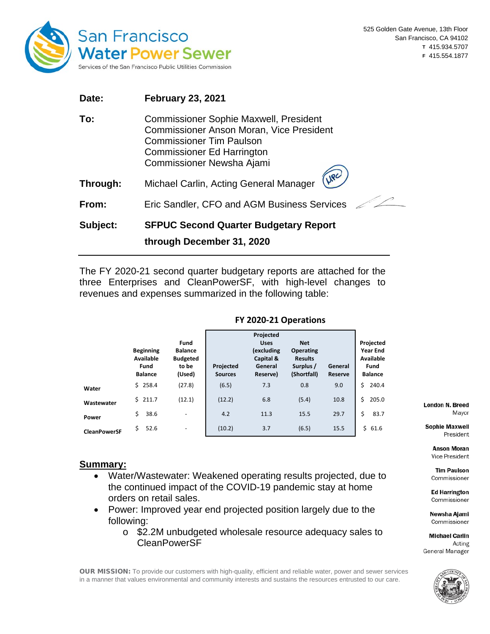

| Date:    | <b>February 23, 2021</b>                                                                                                                                                                              |
|----------|-------------------------------------------------------------------------------------------------------------------------------------------------------------------------------------------------------|
| To:      | <b>Commissioner Sophie Maxwell, President</b><br><b>Commissioner Anson Moran, Vice President</b><br><b>Commissioner Tim Paulson</b><br><b>Commissioner Ed Harrington</b><br>Commissioner Newsha Ajami |
| Through: | UPC<br>Michael Carlin, Acting General Manager                                                                                                                                                         |
| From:    | Eric Sandler, CFO and AGM Business Services                                                                                                                                                           |
| Subject: | <b>SFPUC Second Quarter Budgetary Report</b><br>through December 31, 2020                                                                                                                             |

The FY 2020-21 second quarter budgetary reports are attached for the three Enterprises and CleanPowerSF, with high-level changes to revenues and expenses summarized in the following table:

|                     | <b>Beginning</b><br>Available<br>Fund<br><b>Balance</b> | Fund<br><b>Balance</b><br><b>Budgeted</b><br>to be<br>(Used) | Projected<br><b>Sources</b> | Projected<br><b>Uses</b><br>(excluding<br>Capital &<br>General<br>Reserve) | <b>Net</b><br><b>Operating</b><br><b>Results</b><br>Surplus /<br>(Shortfall) | General<br>Reserve | Projected<br><b>Year End</b><br>Available<br>Fund<br><b>Balance</b> |
|---------------------|---------------------------------------------------------|--------------------------------------------------------------|-----------------------------|----------------------------------------------------------------------------|------------------------------------------------------------------------------|--------------------|---------------------------------------------------------------------|
| Water               | $5$ 258.4                                               | (27.8)                                                       | (6.5)                       | 7.3                                                                        | 0.8                                                                          | 9.0                | Ś.<br>240.4                                                         |
| Wastewater          | \$211.7                                                 | (12.1)                                                       | (12.2)                      | 6.8                                                                        | (5.4)                                                                        | 10.8               | Ś.<br>205.0                                                         |
| Power               | Ś.<br>38.6                                              | ۰                                                            | 4.2                         | 11.3                                                                       | 15.5                                                                         | 29.7               | \$<br>83.7                                                          |
| <b>CleanPowerSF</b> | Ś.<br>52.6                                              | ۰                                                            | (10.2)                      | 3.7                                                                        | (6.5)                                                                        | 15.5               | \$61.6                                                              |

#### **FY 2020-21 Operations**

#### **Summary:**

- Water/Wastewater: Weakened operating results projected, due to the continued impact of the COVID-19 pandemic stay at home orders on retail sales.
- Power: Improved year end projected position largely due to the following:
	- o \$2.2M unbudgeted wholesale resource adequacy sales to CleanPowerSF

OUR MISSION: To provide our customers with high-quality, efficient and reliable water, power and sewer services in a manner that values environmental and community interests and sustains the resources entrusted to our care.

**London N. Breed** Mayor

**Sophie Maxwell** President

**Anson Moran** Vice President

**Tim Paulson** Commissioner

**Ed Harrington** Commissioner

Newsha Ajami Commissioner

**Michael Carlin** Acting General Manager

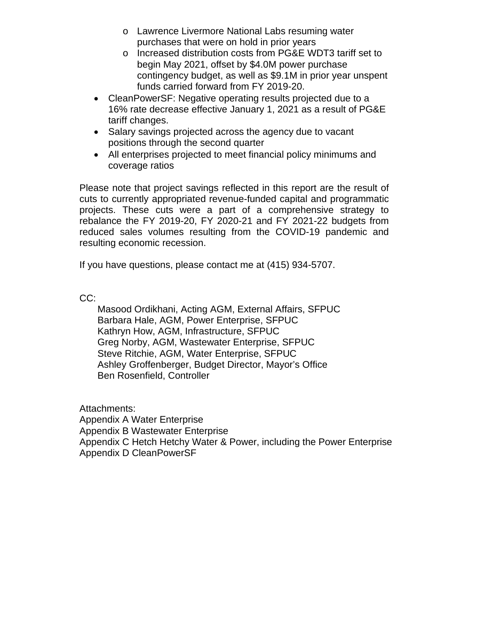- o Lawrence Livermore National Labs resuming water purchases that were on hold in prior years
- o Increased distribution costs from PG&E WDT3 tariff set to begin May 2021, offset by \$4.0M power purchase contingency budget, as well as \$9.1M in prior year unspent funds carried forward from FY 2019-20.
- CleanPowerSF: Negative operating results projected due to a 16% rate decrease effective January 1, 2021 as a result of PG&E tariff changes.
- Salary savings projected across the agency due to vacant positions through the second quarter
- All enterprises projected to meet financial policy minimums and coverage ratios

Please note that project savings reflected in this report are the result of cuts to currently appropriated revenue-funded capital and programmatic projects. These cuts were a part of a comprehensive strategy to rebalance the FY 2019-20, FY 2020-21 and FY 2021-22 budgets from reduced sales volumes resulting from the COVID-19 pandemic and resulting economic recession.

If you have questions, please contact me at (415) 934-5707.

CC:

Masood Ordikhani, Acting AGM, External Affairs, SFPUC Barbara Hale, AGM, Power Enterprise, SFPUC Kathryn How, AGM, Infrastructure, SFPUC Greg Norby, AGM, Wastewater Enterprise, SFPUC Steve Ritchie, AGM, Water Enterprise, SFPUC Ashley Groffenberger, Budget Director, Mayor's Office Ben Rosenfield, Controller

Attachments: Appendix A Water Enterprise Appendix B Wastewater Enterprise Appendix C Hetch Hetchy Water & Power, including the Power Enterprise Appendix D CleanPowerSF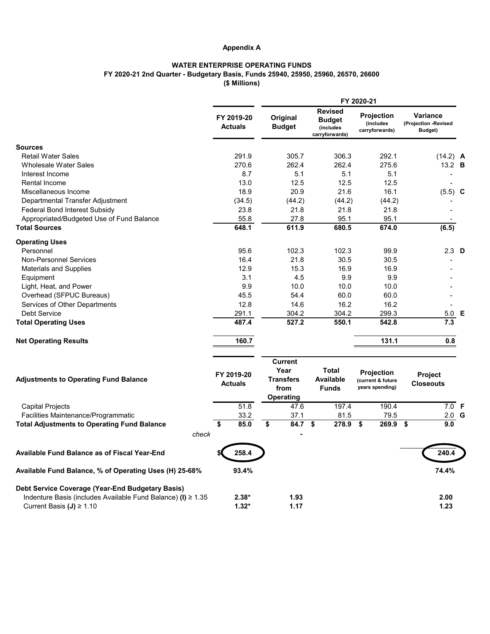## **Appendix A**

# **WATER ENTERPRISE OPERATING FUNDS FY 2020-21 2nd Quarter - Budgetary Basis, Funds 25940, 25950, 25960, 26570, 26600 (\$ Millions)**

|                                                                   |                              | FY 2020-21                                                             |                                                                |                                                           |                                                    |  |
|-------------------------------------------------------------------|------------------------------|------------------------------------------------------------------------|----------------------------------------------------------------|-----------------------------------------------------------|----------------------------------------------------|--|
|                                                                   | FY 2019-20<br><b>Actuals</b> | Original<br><b>Budget</b>                                              | <b>Revised</b><br><b>Budget</b><br>(includes<br>carryforwards) | <b>Projection</b><br>(includes<br>carryforwards)          | <b>Variance</b><br>(Projection -Revised<br>Budget) |  |
| <b>Sources</b>                                                    |                              |                                                                        |                                                                |                                                           |                                                    |  |
| <b>Retail Water Sales</b>                                         | 291.9                        | 305.7                                                                  | 306.3                                                          | 292.1                                                     | $(14.2)$ A                                         |  |
| <b>Wholesale Water Sales</b>                                      | 270.6                        | 262.4                                                                  | 262.4                                                          | 275.6                                                     | 13.2 <b>B</b>                                      |  |
| Interest Income                                                   | 8.7                          | 5.1                                                                    | 5.1                                                            | 5.1                                                       |                                                    |  |
| Rental Income                                                     | 13.0                         | 12.5                                                                   | 12.5                                                           | 12.5                                                      |                                                    |  |
| Miscellaneous Income                                              | 18.9                         | 20.9                                                                   | 21.6                                                           | 16.1                                                      | $(5.5)$ C                                          |  |
| Departmental Transfer Adjustment                                  | (34.5)                       | (44.2)                                                                 | (44.2)                                                         | (44.2)                                                    |                                                    |  |
| <b>Federal Bond Interest Subsidy</b>                              | 23.8                         | 21.8                                                                   | 21.8                                                           | 21.8                                                      |                                                    |  |
| Appropriated/Budgeted Use of Fund Balance                         | 55.8                         | 27.8                                                                   | 95.1                                                           | 95.1                                                      |                                                    |  |
| <b>Total Sources</b>                                              | 648.1                        | 611.9                                                                  | 680.5                                                          | 674.0                                                     | (6.5)                                              |  |
| <b>Operating Uses</b>                                             |                              |                                                                        |                                                                |                                                           |                                                    |  |
| Personnel                                                         | 95.6                         | 102.3                                                                  | 102.3                                                          | 99.9                                                      | $2.3$ D                                            |  |
| <b>Non-Personnel Services</b>                                     | 16.4                         | 21.8                                                                   | 30.5                                                           | 30.5                                                      |                                                    |  |
| <b>Materials and Supplies</b>                                     | 12.9                         | 15.3                                                                   | 16.9                                                           | 16.9                                                      |                                                    |  |
| Equipment                                                         | 3.1                          | 4.5                                                                    | 9.9                                                            | 9.9                                                       |                                                    |  |
| Light, Heat, and Power                                            | 9.9                          | 10.0                                                                   | 10.0                                                           | 10.0                                                      |                                                    |  |
| Overhead (SFPUC Bureaus)                                          | 45.5                         | 54.4                                                                   | 60.0                                                           | 60.0                                                      |                                                    |  |
| Services of Other Departments                                     | 12.8                         | 14.6                                                                   | 16.2                                                           | 16.2                                                      |                                                    |  |
| <b>Debt Service</b>                                               | 291.1                        | 304.2                                                                  | 304.2                                                          | 299.3                                                     | 5.0 E                                              |  |
| <b>Total Operating Uses</b>                                       | 487.4                        | 527.2                                                                  | 550.1                                                          | 542.8                                                     | 7.3                                                |  |
| <b>Net Operating Results</b>                                      | 160.7                        |                                                                        |                                                                | 131.1                                                     | 0.8                                                |  |
| <b>Adjustments to Operating Fund Balance</b>                      | FY 2019-20<br><b>Actuals</b> | <b>Current</b><br>Year<br><b>Transfers</b><br>from<br><b>Operating</b> | <b>Total</b><br><b>Available</b><br><b>Funds</b>               | <b>Projection</b><br>(current & future<br>years spending) | <b>Project</b><br><b>Closeouts</b>                 |  |
| <b>Capital Projects</b>                                           | 51.8                         | 47.6                                                                   | 197.4                                                          | 190.4                                                     | 7.0 F                                              |  |
| Facilities Maintenance/Programmatic                               | 33.2                         | 37.1                                                                   | 81.5                                                           | 79.5                                                      | $2.0$ G                                            |  |
| <b>Total Adjustments to Operating Fund Balance</b>                | 85.0<br>\$                   | \$<br>84.7 \$                                                          | 278.9                                                          | $269.9$ \$<br>\$                                          | 9.0                                                |  |
| check                                                             |                              |                                                                        |                                                                |                                                           |                                                    |  |
| <b>Available Fund Balance as of Fiscal Year-End</b>               | 258.4                        |                                                                        |                                                                |                                                           | 240.4                                              |  |
| Available Fund Balance, % of Operating Uses (H) 25-68%            | 93.4%                        |                                                                        |                                                                |                                                           | 74.4%                                              |  |
| Debt Service Coverage (Year-End Budgetary Basis)                  |                              |                                                                        |                                                                |                                                           |                                                    |  |
| Indenture Basis (includes Available Fund Balance) (I) $\geq 1.35$ | $2.38*$                      | 1.93                                                                   |                                                                |                                                           | 2.00                                               |  |
| Current Basis $(J) \ge 1.10$                                      | $1.32*$                      | 1.17                                                                   |                                                                |                                                           | 1.23                                               |  |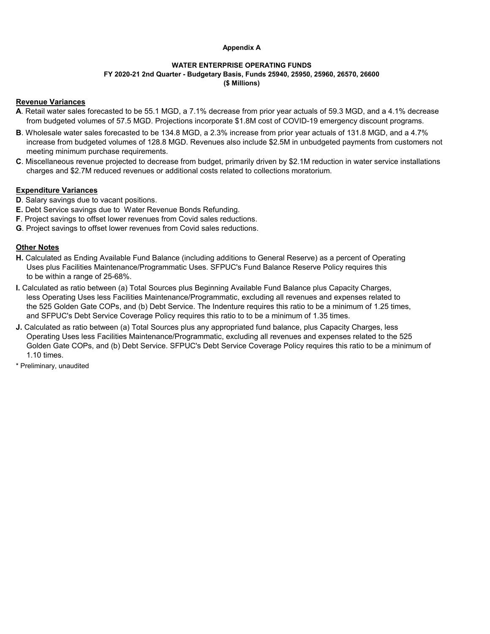#### **Appendix A**

#### **WATER ENTERPRISE OPERATING FUNDS FY 2020-21 2nd Quarter - Budgetary Basis, Funds 25940, 25950, 25960, 26570, 26600 (\$ Millions)**

## **Revenue Variances**

- **A**. Retail water sales forecasted to be 55.1 MGD, a 7.1% decrease from prior year actuals of 59.3 MGD, and a 4.1% decrease from budgeted volumes of 57.5 MGD. Projections incorporate \$1.8M cost of COVID-19 emergency discount programs.
- **B**. Wholesale water sales forecasted to be 134.8 MGD, a 2.3% increase from prior year actuals of 131.8 MGD, and a 4.7% increase from budgeted volumes of 128.8 MGD. Revenues also include \$2.5M in unbudgeted payments from customers not meeting minimum purchase requirements.
- **C**. Miscellaneous revenue projected to decrease from budget, primarily driven by \$2.1M reduction in water service installations charges and \$2.7M reduced revenues or additional costs related to collections moratorium.

## **Expenditure Variances**

- **D**. Salary savings due to vacant positions.
- **E.** Debt Service savings due to Water Revenue Bonds Refunding.
- **F**. Project savings to offset lower revenues from Covid sales reductions.
- **G**. Project savings to offset lower revenues from Covid sales reductions.

## **Other Notes**

- **H.** Calculated as Ending Available Fund Balance (including additions to General Reserve) as a percent of Operating Uses plus Facilities Maintenance/Programmatic Uses. SFPUC's Fund Balance Reserve Policy requires this to be within a range of 25-68%.
- **I.** Calculated as ratio between (a) Total Sources plus Beginning Available Fund Balance plus Capacity Charges, less Operating Uses less Facilities Maintenance/Programmatic, excluding all revenues and expenses related to the 525 Golden Gate COPs, and (b) Debt Service. The Indenture requires this ratio to be a minimum of 1.25 times, and SFPUC's Debt Service Coverage Policy requires this ratio to to be a minimum of 1.35 times.
- **J.** Calculated as ratio between (a) Total Sources plus any appropriated fund balance, plus Capacity Charges, less Operating Uses less Facilities Maintenance/Programmatic, excluding all revenues and expenses related to the 525 Golden Gate COPs, and (b) Debt Service. SFPUC's Debt Service Coverage Policy requires this ratio to be a minimum of 1.10 times.
- \* Preliminary, unaudited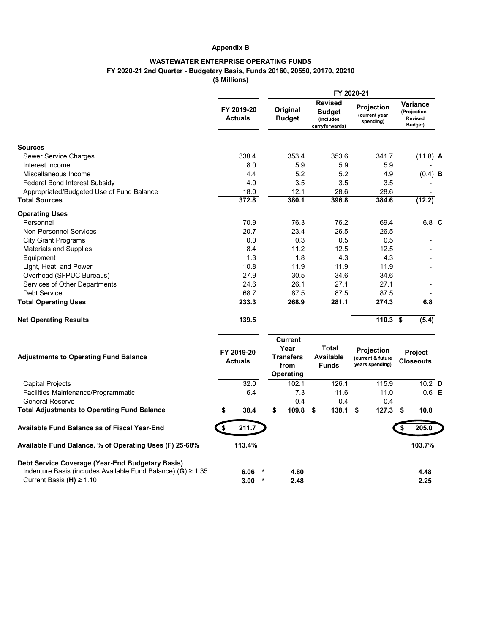## **Appendix B**

# **WASTEWATER ENTERPRISE OPERATING FUNDS FY 2020-21 2nd Quarter - Budgetary Basis, Funds 20160, 20550, 20170, 20210 (\$ Millions)**

|                                                                                                                       |        |                                                                        | <b>Revised</b>                                   |                                                           |                                                               |  |
|-----------------------------------------------------------------------------------------------------------------------|--------|------------------------------------------------------------------------|--------------------------------------------------|-----------------------------------------------------------|---------------------------------------------------------------|--|
| FY 2019-20<br><b>Actuals</b>                                                                                          |        | Original<br><b>Budget</b>                                              | <b>Budget</b><br>(includes<br>carryforwards)     | Projection<br>(current year<br>spending)                  | <b>Variance</b><br>(Projection -<br><b>Revised</b><br>Budget) |  |
| <b>Sources</b>                                                                                                        |        |                                                                        |                                                  |                                                           |                                                               |  |
| 338.4<br><b>Sewer Service Charges</b>                                                                                 |        | 353.4                                                                  | 353.6                                            | 341.7                                                     | $(11.8)$ A                                                    |  |
| Interest Income<br>8.0                                                                                                |        | 5.9                                                                    | 5.9                                              | 5.9                                                       |                                                               |  |
| Miscellaneous Income<br>4.4                                                                                           |        | 5.2                                                                    | 5.2                                              | 4.9                                                       | $(0.4)$ <b>B</b>                                              |  |
| <b>Federal Bond Interest Subsidy</b><br>4.0                                                                           |        | 3.5                                                                    | 3.5                                              | 3.5                                                       |                                                               |  |
| 18.0<br>Appropriated/Budgeted Use of Fund Balance                                                                     |        | 12.1                                                                   | 28.6                                             | 28.6                                                      |                                                               |  |
| 372.8<br><b>Total Sources</b>                                                                                         |        | 380.1                                                                  | 396.8                                            | 384.6                                                     | (12.2)                                                        |  |
| <b>Operating Uses</b>                                                                                                 |        |                                                                        |                                                  |                                                           |                                                               |  |
| Personnel<br>70.9                                                                                                     |        | 76.3                                                                   | 76.2                                             | 69.4                                                      | 6.8 C                                                         |  |
| 20.7<br><b>Non-Personnel Services</b>                                                                                 |        | 23.4                                                                   | 26.5                                             | 26.5                                                      |                                                               |  |
| 0.0<br><b>City Grant Programs</b>                                                                                     |        | 0.3                                                                    | 0.5                                              | 0.5                                                       |                                                               |  |
| 8.4<br><b>Materials and Supplies</b>                                                                                  |        | 11.2                                                                   | 12.5                                             | 12.5                                                      |                                                               |  |
| 1.3<br>Equipment                                                                                                      |        | 1.8                                                                    | 4.3                                              | 4.3                                                       |                                                               |  |
| 10.8<br>Light, Heat, and Power                                                                                        |        | 11.9                                                                   | 11.9                                             | 11.9                                                      |                                                               |  |
| Overhead (SFPUC Bureaus)<br>27.9                                                                                      |        | 30.5                                                                   | 34.6                                             | 34.6                                                      |                                                               |  |
| 24.6<br>Services of Other Departments                                                                                 |        | 26.1                                                                   | 27.1                                             | 27.1                                                      |                                                               |  |
| <b>Debt Service</b><br>68.7                                                                                           |        | 87.5                                                                   | 87.5                                             | 87.5                                                      |                                                               |  |
| 233.3<br><b>Total Operating Uses</b>                                                                                  |        | 268.9                                                                  | 281.1                                            | 274.3                                                     | 6.8                                                           |  |
| 139.5<br><b>Net Operating Results</b>                                                                                 |        |                                                                        |                                                  | 110.3                                                     | \$<br>(5.4)                                                   |  |
| FY 2019-20<br><b>Adjustments to Operating Fund Balance</b><br><b>Actuals</b>                                          |        | <b>Current</b><br>Year<br><b>Transfers</b><br>from<br><b>Operating</b> | <b>Total</b><br><b>Available</b><br><b>Funds</b> | <b>Projection</b><br>(current & future<br>years spending) | <b>Project</b><br><b>Closeouts</b>                            |  |
| 32.0<br><b>Capital Projects</b>                                                                                       |        | 102.1                                                                  | 126.1                                            | 115.9                                                     | $10.2$ D                                                      |  |
| 6.4<br>Facilities Maintenance/Programmatic                                                                            |        | 7.3                                                                    | 11.6                                             | 11.0                                                      | $0.6$ E                                                       |  |
| <b>General Reserve</b>                                                                                                |        | 0.4                                                                    | 0.4                                              | 0.4                                                       |                                                               |  |
| 38.4<br><b>Total Adjustments to Operating Fund Balance</b><br>\$                                                      |        | \$<br>109.8                                                            | 138.1<br>\$                                      | 127.3<br>\$                                               | 10.8<br>\$                                                    |  |
| 211.7<br><b>Available Fund Balance as of Fiscal Year-End</b>                                                          |        |                                                                        |                                                  |                                                           | 205.0                                                         |  |
| Available Fund Balance, % of Operating Uses (F) 25-68%<br>113.4%                                                      |        |                                                                        |                                                  |                                                           | 103.7%                                                        |  |
| Debt Service Coverage (Year-End Budgetary Basis)<br>Indenture Basis (includes Available Fund Balance) (G) $\geq 1.35$ | $\ast$ |                                                                        |                                                  |                                                           |                                                               |  |
| 6.06<br>Current Basis (H) $\geq 1.10$<br>3.00                                                                         | $\ast$ | 4.80<br>2.48                                                           |                                                  |                                                           | 4.48<br>2.25                                                  |  |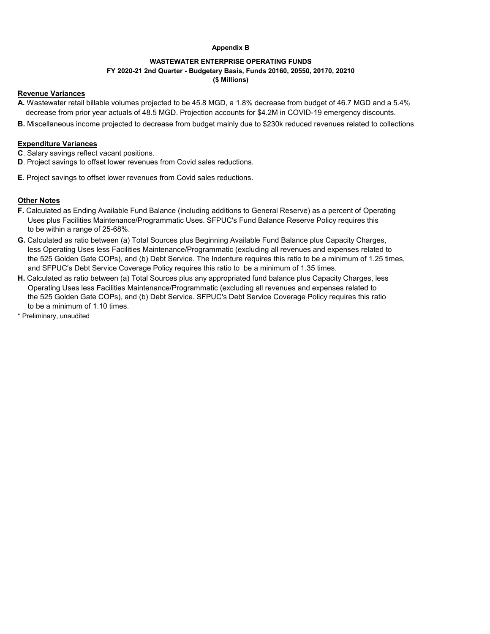#### **Appendix B**

#### **WASTEWATER ENTERPRISE OPERATING FUNDS FY 2020-21 2nd Quarter - Budgetary Basis, Funds 20160, 20550, 20170, 20210 (\$ Millions)**

#### **Revenue Variances**

- **A.** Wastewater retail billable volumes projected to be 45.8 MGD, a 1.8% decrease from budget of 46.7 MGD and a 5.4% decrease from prior year actuals of 48.5 MGD. Projection accounts for \$4.2M in COVID-19 emergency discounts.
- **B.** Miscellaneous income projected to decrease from budget mainly due to \$230k reduced revenues related to collections

## **Expenditure Variances**

- **C**. Salary savings reflect vacant positions.
- **D**. Project savings to offset lower revenues from Covid sales reductions.
- **E**. Project savings to offset lower revenues from Covid sales reductions.

## **Other Notes**

- **F.** Calculated as Ending Available Fund Balance (including additions to General Reserve) as a percent of Operating Uses plus Facilities Maintenance/Programmatic Uses. SFPUC's Fund Balance Reserve Policy requires this to be within a range of 25-68%.
- **G.** Calculated as ratio between (a) Total Sources plus Beginning Available Fund Balance plus Capacity Charges, less Operating Uses less Facilities Maintenance/Programmatic (excluding all revenues and expenses related to the 525 Golden Gate COPs), and (b) Debt Service. The Indenture requires this ratio to be a minimum of 1.25 times, and SFPUC's Debt Service Coverage Policy requires this ratio to be a minimum of 1.35 times.
- **H.** Calculated as ratio between (a) Total Sources plus any appropriated fund balance plus Capacity Charges, less Operating Uses less Facilities Maintenance/Programmatic (excluding all revenues and expenses related to the 525 Golden Gate COPs), and (b) Debt Service. SFPUC's Debt Service Coverage Policy requires this ratio to be a minimum of 1.10 times.
- \* Preliminary, unaudited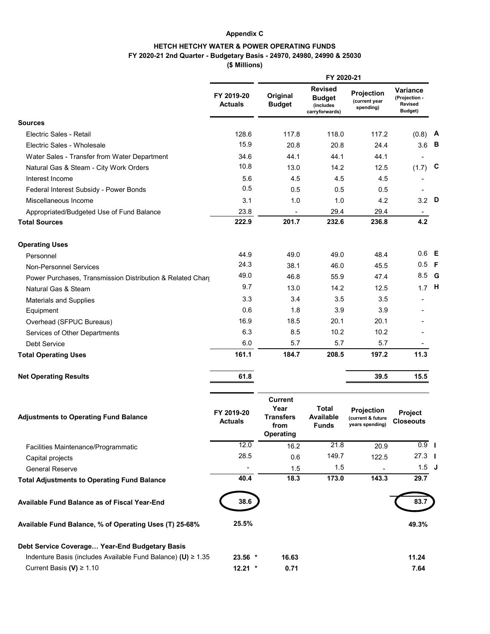#### **Appendix C**

# **HETCH HETCHY WATER & POWER OPERATING FUNDS**

## **FY 2020-21 2nd Quarter - Budgetary Basis - 24970, 24980, 24990 & 25030**

**(\$ Millions)**

|                                                                   |                              |                                                                        | FY 2020-21                                                     |                                                    |                                                               |  |
|-------------------------------------------------------------------|------------------------------|------------------------------------------------------------------------|----------------------------------------------------------------|----------------------------------------------------|---------------------------------------------------------------|--|
|                                                                   | FY 2019-20<br><b>Actuals</b> | Original<br><b>Budget</b>                                              | <b>Revised</b><br><b>Budget</b><br>(includes<br>carryforwards) | <b>Projection</b><br>(current year<br>spending)    | <b>Variance</b><br>(Projection -<br><b>Revised</b><br>Budget) |  |
| <b>Sources</b>                                                    |                              |                                                                        |                                                                |                                                    |                                                               |  |
| Electric Sales - Retail                                           | 128.6                        | 117.8                                                                  | 118.0                                                          | 117.2                                              | $(0.8)$ A                                                     |  |
| Electric Sales - Wholesale                                        | 15.9                         | 20.8                                                                   | 20.8                                                           | 24.4                                               | $3.6$ B                                                       |  |
| Water Sales - Transfer from Water Department                      | 34.6                         | 44.1                                                                   | 44.1                                                           | 44.1                                               |                                                               |  |
| Natural Gas & Steam - City Work Orders                            | 10.8                         | 13.0                                                                   | 14.2                                                           | 12.5                                               | $(1.7)$ C                                                     |  |
| Interest Income                                                   | 5.6                          | 4.5                                                                    | 4.5                                                            | 4.5                                                |                                                               |  |
| Federal Interest Subsidy - Power Bonds                            | 0.5                          | 0.5                                                                    | 0.5                                                            | 0.5                                                |                                                               |  |
| Miscellaneous Income                                              | 3.1                          | 1.0                                                                    | 1.0                                                            | 4.2                                                | $3.2$ D                                                       |  |
| Appropriated/Budgeted Use of Fund Balance                         | 23.8                         |                                                                        | 29.4                                                           | 29.4                                               |                                                               |  |
| <b>Total Sources</b>                                              | 222.9                        | 201.7                                                                  | 232.6                                                          | 236.8                                              | 4.2                                                           |  |
| <b>Operating Uses</b>                                             |                              |                                                                        |                                                                |                                                    |                                                               |  |
| Personnel                                                         | 44.9                         | 49.0                                                                   | 49.0                                                           | 48.4                                               | $0.6$ E                                                       |  |
| <b>Non-Personnel Services</b>                                     | 24.3                         | 38.1                                                                   | 46.0                                                           | 45.5                                               | $0.5$ F                                                       |  |
| Power Purchases, Transmission Distribution & Related Chard        | 49.0                         | 46.8                                                                   | 55.9                                                           | 47.4                                               | 8.5 G                                                         |  |
| Natural Gas & Steam                                               | 9.7                          | 13.0                                                                   | 14.2                                                           | 12.5                                               | $1.7$ H                                                       |  |
| <b>Materials and Supplies</b>                                     | 3.3                          | 3.4                                                                    | 3.5                                                            | 3.5                                                |                                                               |  |
| Equipment                                                         | 0.6                          | 1.8                                                                    | 3.9                                                            | 3.9                                                |                                                               |  |
| Overhead (SFPUC Bureaus)                                          | 16.9                         | 18.5                                                                   | 20.1                                                           | 20.1                                               |                                                               |  |
| Services of Other Departments                                     | 6.3                          | 8.5                                                                    | 10.2                                                           | 10.2                                               |                                                               |  |
| <b>Debt Service</b>                                               | 6.0                          | 5.7                                                                    | 5.7                                                            | 5.7                                                |                                                               |  |
| <b>Total Operating Uses</b>                                       | 161.1                        | 184.7                                                                  | 208.5                                                          | 197.2                                              | 11.3                                                          |  |
| <b>Net Operating Results</b>                                      | 61.8                         |                                                                        |                                                                | 39.5                                               | 15.5                                                          |  |
| <b>Adjustments to Operating Fund Balance</b>                      | FY 2019-20<br><b>Actuals</b> | <b>Current</b><br>Year<br><b>Transfers</b><br>from<br><b>Operating</b> | <b>Total</b><br><b>Available</b><br><b>Funds</b>               | Projection<br>(current & future<br>years spending) | Project<br><b>Closeouts</b>                                   |  |
| Facilities Maintenance/Programmatic                               | 12.0                         | 16.2                                                                   | 21.8                                                           | 20.9                                               | $\overline{0.9}$                                              |  |
| Capital projects                                                  | 28.5                         | 0.6                                                                    | 149.7                                                          | 122.5                                              | $27.3$ 1                                                      |  |
| <b>General Reserve</b>                                            |                              | 1.5                                                                    | 1.5                                                            |                                                    | $1.5$ J                                                       |  |
| <b>Total Adjustments to Operating Fund Balance</b>                | 40.4                         | 18.3                                                                   | 173.0                                                          | 143.3                                              | 29.7                                                          |  |
| <b>Available Fund Balance as of Fiscal Year-End</b>               | 38.6                         |                                                                        |                                                                |                                                    | 83.7                                                          |  |
| Available Fund Balance, % of Operating Uses (T) 25-68%            | 25.5%                        |                                                                        |                                                                |                                                    | 49.3%                                                         |  |
| Debt Service Coverage Year-End Budgetary Basis                    |                              |                                                                        |                                                                |                                                    |                                                               |  |
| Indenture Basis (includes Available Fund Balance) (U) $\geq 1.35$ | $23.56$ *                    | 16.63                                                                  |                                                                |                                                    | 11.24                                                         |  |
| Current Basis (V) $\geq 1.10$                                     | $12.21$ *                    | 0.71                                                                   |                                                                |                                                    | 7.64                                                          |  |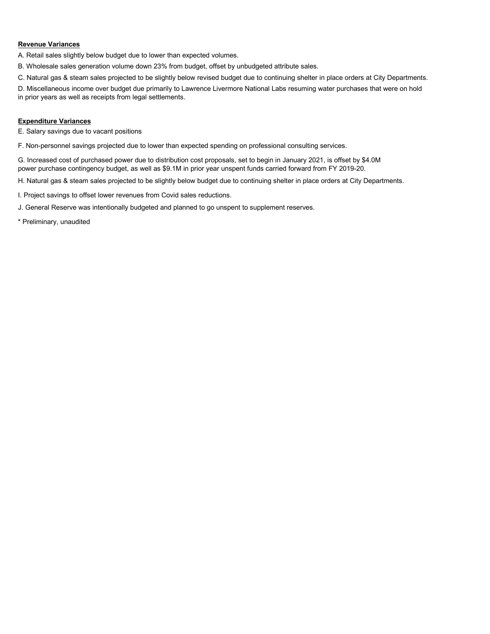#### **Revenue Variances**

A. Retail sales slightly below budget due to lower than expected volumes.

B. Wholesale sales generation volume down 23% from budget, offset by unbudgeted attribute sales.

C. Natural gas & steam sales projected to be slightly below revised budget due to continuing shelter in place orders at City Departments.

D. Miscellaneous income over budget due primarily to Lawrence Livermore National Labs resuming water purchases that were on hold in prior years as well as receipts from legal settlements.

#### **Expenditure Variances**

E. Salary savings due to vacant positions

F. Non-personnel savings projected due to lower than expected spending on professional consulting services.

G. Increased cost of purchased power due to distribution cost proposals, set to begin in January 2021, is offset by \$4.0M power purchase contingency budget, as well as \$9.1M in prior year unspent funds carried forward from FY 2019-20.

H. Natural gas & steam sales projected to be slightly below budget due to continuing shelter in place orders at City Departments.

I. Project savings to offset lower revenues from Covid sales reductions.

J. General Reserve was intentionally budgeted and planned to go unspent to supplement reserves.

\* Preliminary, unaudited